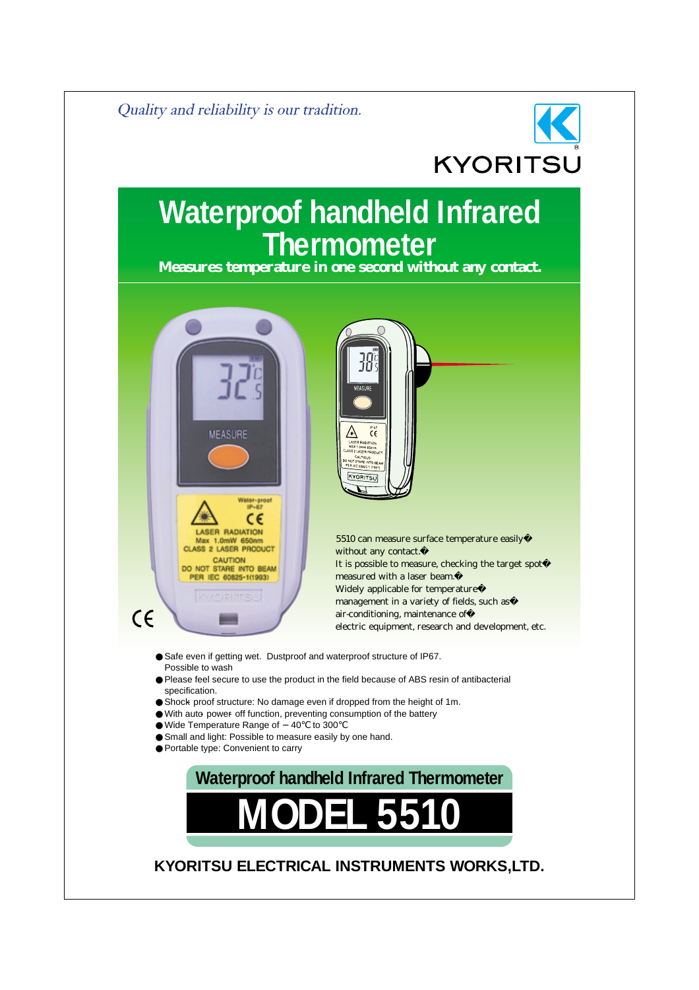

# **Waterproof handheld Infrared Thermometer**

**Measures temperature in one second without any contact.**





 5510 can measure surface temperature easily� without any contact. It is possible to measure, checking the target spot� measured with a laser beam. Widely applicable for temperature management in a variety of fields, such as air-conditioning, maintenance of electric equipment, research and development, etc.

Safe even if getting wet. Dustproof and waterproof structure of IP67. Possible to wash Please feel secure to use the product in the field because of ABS resin of antibacterial specification. Shock proof structure: No damage even if dropped from the height of 1m. With auto power off function, preventing consumption of the battery Wide Temperature Range of 40 to 300 Small and light: Possible to measure easily by one hand. Portable type: Convenient to carry



### **KYORITSU ELECTRICAL INSTRUMENTS WORKS,LTD.**